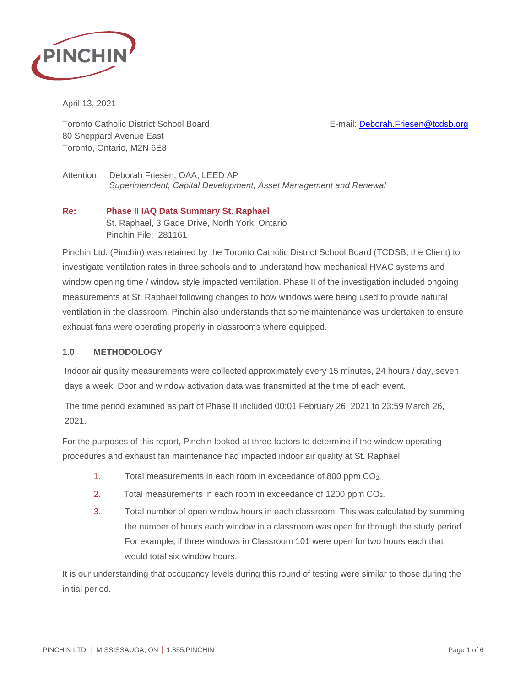

April 13, 2021

Toronto Catholic District School Board **E-mail: [Deborah.Friesen@tcdsb.org](mailto:Deborah.Friesen@tcdsb.org)** 80 Sheppard Avenue East Toronto, Ontario, M2N 6E8

Attention: Deborah Friesen, OAA, LEED AP *Superintendent, Capital Development, Asset Management and Renewal*

## **Re: Phase II IAQ Data Summary St. Raphael** St. Raphael, 3 Gade Drive, North York, Ontario Pinchin File: 281161

Pinchin Ltd. (Pinchin) was retained by the Toronto Catholic District School Board (TCDSB, the Client) to investigate ventilation rates in three schools and to understand how mechanical HVAC systems and window opening time / window style impacted ventilation. Phase II of the investigation included ongoing measurements at St. Raphael following changes to how windows were being used to provide natural ventilation in the classroom. Pinchin also understands that some maintenance was undertaken to ensure exhaust fans were operating properly in classrooms where equipped.

# **1.0 METHODOLOGY**

Indoor air quality measurements were collected approximately every 15 minutes, 24 hours / day, seven days a week. Door and window activation data was transmitted at the time of each event.

The time period examined as part of Phase II included 00:01 February 26, 2021 to 23:59 March 26, 2021.

For the purposes of this report, Pinchin looked at three factors to determine if the window operating procedures and exhaust fan maintenance had impacted indoor air quality at St. Raphael:

- 1. Total measurements in each room in exceedance of 800 ppm CO2.
- 2. Total measurements in each room in exceedance of 1200 ppm CO2.
- 3. Total number of open window hours in each classroom. This was calculated by summing the number of hours each window in a classroom was open for through the study period. For example, if three windows in Classroom 101 were open for two hours each that would total six window hours.

It is our understanding that occupancy levels during this round of testing were similar to those during the initial period.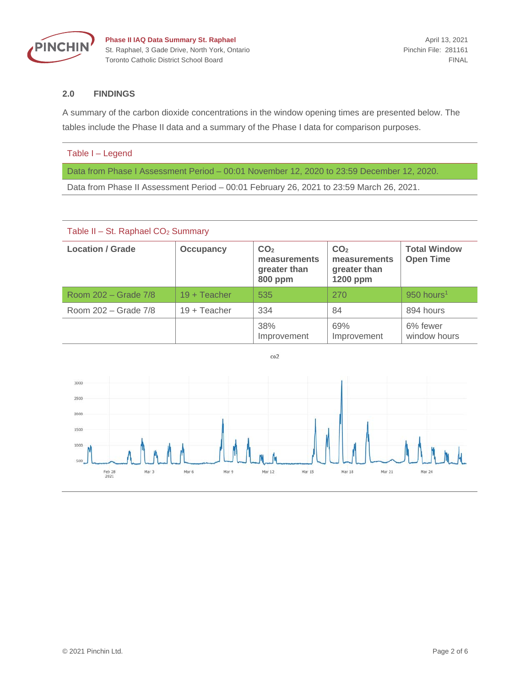

**Phase II IAQ Data Summary St. Raphael April 13, 2021** April 13, 2021 St. Raphael, 3 Gade Drive, North York, Ontario Pinchin File: 281161 Toronto Catholic District School Board FINAL

### **2.0 FINDINGS**

A summary of the carbon dioxide concentrations in the window opening times are presented below. The tables include the Phase II data and a summary of the Phase I data for comparison purposes.

#### Table I – Legend

Data from Phase I Assessment Period – 00:01 November 12, 2020 to 23:59 December 12, 2020.

Data from Phase II Assessment Period – 00:01 February 26, 2021 to 23:59 March 26, 2021.

| Table II - St. Raphael CO <sub>2</sub> Summary |                  |                                                                   |                                                             |                                         |
|------------------------------------------------|------------------|-------------------------------------------------------------------|-------------------------------------------------------------|-----------------------------------------|
| <b>Location / Grade</b>                        | <b>Occupancy</b> | CO <sub>2</sub><br>measurements<br>greater than<br><b>800 ppm</b> | CO <sub>2</sub><br>measurements<br>greater than<br>1200 ppm | <b>Total Window</b><br><b>Open Time</b> |
| Room 202 – Grade 7/8                           | $19 + Teacher$   | 535                                                               | 270                                                         | $950$ hours <sup>1</sup>                |
| Room 202 – Grade 7/8                           | $19 + Teacher$   | 334                                                               | 84                                                          | 894 hours                               |
|                                                |                  | 38%<br>Improvement                                                | 69%<br>Improvement                                          | 6% fewer<br>window hours                |

 $co<sub>2</sub>$ 

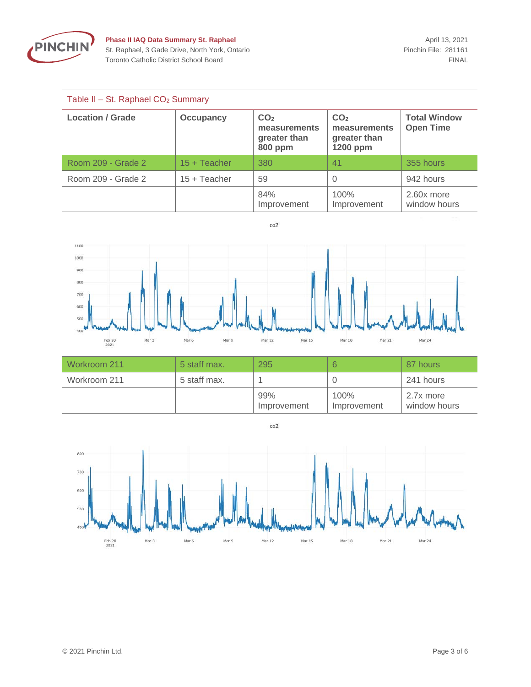

## Table II – St. Raphael CO2 Summary

| <b>Location / Grade</b> | <b>Occupancy</b> | CO <sub>2</sub><br>measurements<br>greater than<br><b>800 ppm</b> | CO <sub>2</sub><br>measurements<br>greater than<br>1200 ppm | <b>Total Window</b><br><b>Open Time</b> |
|-------------------------|------------------|-------------------------------------------------------------------|-------------------------------------------------------------|-----------------------------------------|
| Room 209 - Grade 2      | $15 + Teacher$   | 380                                                               | 41                                                          | 355 hours                               |
| Room 209 - Grade 2      | $15 + Teacher$   | 59                                                                |                                                             | 942 hours                               |
|                         |                  | 84%<br>Improvement                                                | 100%<br>Improvement                                         | 2.60x more<br>window hours              |





| Workroom 211 | 5 staff max. | 295                |                     | 87 hours                  |
|--------------|--------------|--------------------|---------------------|---------------------------|
| Workroom 211 | 5 staff max. |                    |                     | 241 hours                 |
|              |              | 99%<br>Improvement | 100%<br>Improvement | 2.7x more<br>window hours |

 $co2$ 

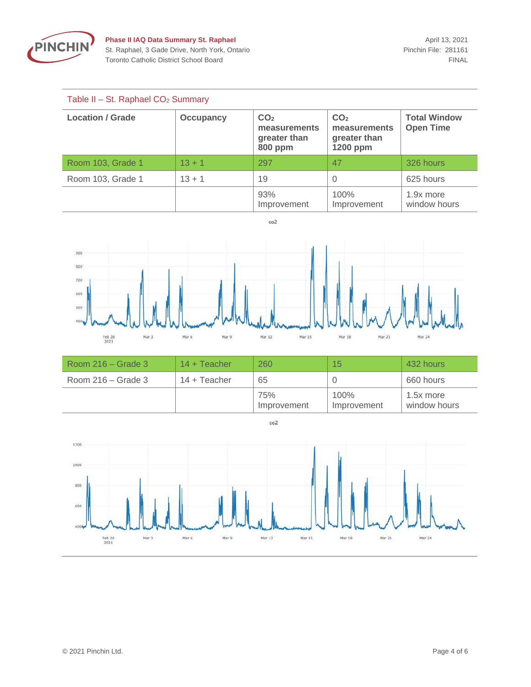

## Table II – St. Raphael CO2 Summary

| <b>Location / Grade</b> | <b>Occupancy</b> | CO <sub>2</sub><br>measurements<br>greater than<br><b>800 ppm</b> | CO <sub>2</sub><br>measurements<br>greater than<br>1200 ppm | <b>Total Window</b><br><b>Open Time</b> |
|-------------------------|------------------|-------------------------------------------------------------------|-------------------------------------------------------------|-----------------------------------------|
| Room 103, Grade 1       | $13 + 1$         | 297                                                               | 47                                                          | 326 hours                               |
| Room 103, Grade 1       | $13 + 1$         | 19                                                                |                                                             | 625 hours                               |
|                         |                  | 93%<br>Improvement                                                | 100%<br>Improvement                                         | 1.9x more<br>window hours               |

 $co<sub>2</sub>$ 



| Room $216 -$ Grade 3 | $14 + Teacher$ | 260                | 15 <sub>15</sub>    | 432 hours                 |
|----------------------|----------------|--------------------|---------------------|---------------------------|
| Room $216 -$ Grade 3 | $14 + Teacher$ | 65                 |                     | 660 hours                 |
|                      |                | 75%<br>Improvement | 100%<br>Improvement | 1.5x more<br>window hours |

 $co<sub>2</sub>$ 

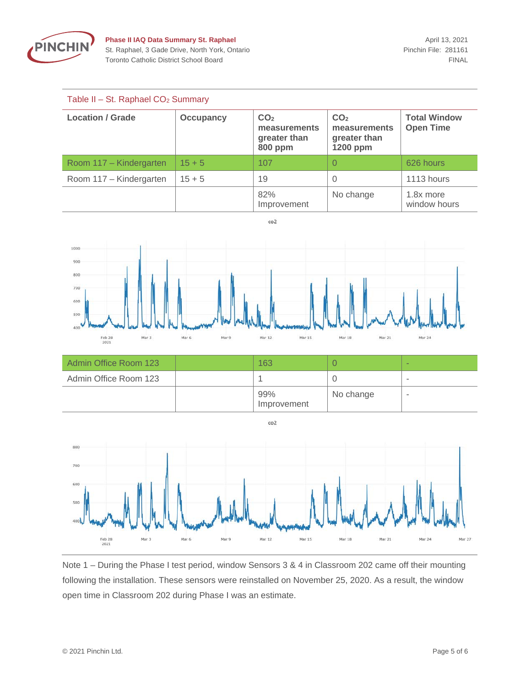

#### Table II – St. Raphael CO2 Summary

| <b>Location / Grade</b> | <b>Occupancy</b> | CO <sub>2</sub><br>measurements<br>greater than<br><b>800 ppm</b> | CO <sub>2</sub><br>measurements<br>greater than<br>1200 ppm | <b>Total Window</b><br><b>Open Time</b> |
|-------------------------|------------------|-------------------------------------------------------------------|-------------------------------------------------------------|-----------------------------------------|
| Room 117 – Kindergarten | $15 + 5$         | 107                                                               |                                                             | 626 hours                               |
| Room 117 - Kindergarten | $15 + 5$         | 19                                                                |                                                             | 1113 hours                              |
|                         |                  | 82%<br>Improvement                                                | No change                                                   | 1.8x more<br>window hours               |

 $co2$ 



| Admin Office Room 123 | 163                |           | $\sim$                   |
|-----------------------|--------------------|-----------|--------------------------|
| Admin Office Room 123 |                    |           | $\overline{\phantom{a}}$ |
|                       | 99%<br>Improvement | No change | $\sim$                   |

 $co2$ 



Note 1 – During the Phase I test period, window Sensors 3 & 4 in Classroom 202 came off their mounting following the installation. These sensors were reinstalled on November 25, 2020. As a result, the window open time in Classroom 202 during Phase I was an estimate.